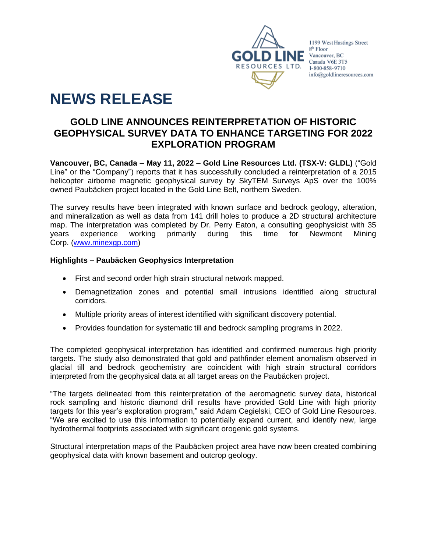

1199 West Hastings Street 8<sup>th</sup> Floor **CONCE Vancouver, BC**<br>Canada V6E 3T5 1-800-858-9710 info@goldlineresources.com

# **NEWS RELEASE**

# **GOLD LINE ANNOUNCES REINTERPRETATION OF HISTORIC GEOPHYSICAL SURVEY DATA TO ENHANCE TARGETING FOR 2022 EXPLORATION PROGRAM**

**Vancouver, BC, Canada – May 11, 2022 – Gold Line Resources Ltd. (TSX-V: GLDL)** ("Gold Line" or the "Company") reports that it has successfully concluded a reinterpretation of a 2015 helicopter airborne magnetic geophysical survey by SkyTEM Surveys ApS over the 100% owned Paubäcken project located in the Gold Line Belt, northern Sweden.

The survey results have been integrated with known surface and bedrock geology, alteration, and mineralization as well as data from 141 drill holes to produce a 2D structural architecture map. The interpretation was completed by Dr. Perry Eaton, a consulting geophysicist with 35 years experience working primarily during this time for Newmont Mining Corp. [\(www.minexgp.com\)](http://www.minexgp.com/)

# **Highlights – Paubäcken Geophysics Interpretation**

- First and second order high strain structural network mapped.
- Demagnetization zones and potential small intrusions identified along structural corridors.
- Multiple priority areas of interest identified with significant discovery potential.
- Provides foundation for systematic till and bedrock sampling programs in 2022.

The completed geophysical interpretation has identified and confirmed numerous high priority targets. The study also demonstrated that gold and pathfinder element anomalism observed in glacial till and bedrock geochemistry are coincident with high strain structural corridors interpreted from the geophysical data at all target areas on the Paubäcken project.

"The targets delineated from this reinterpretation of the aeromagnetic survey data, historical rock sampling and historic diamond drill results have provided Gold Line with high priority targets for this year's exploration program," said Adam Cegielski, CEO of Gold Line Resources. "We are excited to use this information to potentially expand current, and identify new, large hydrothermal footprints associated with significant orogenic gold systems.

Structural interpretation maps of the Paubäcken project area have now been created combining geophysical data with known basement and outcrop geology.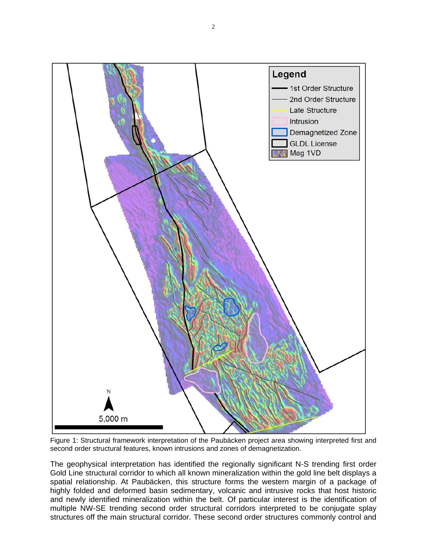

Figure 1: Structural framework interpretation of the Paubäcken project area showing interpreted first and second order structural features, known intrusions and zones of demagnetization.

The geophysical interpretation has identified the regionally significant N-S trending first order Gold Line structural corridor to which all known mineralization within the gold line belt displays a spatial relationship. At Paubäcken, this structure forms the western margin of a package of highly folded and deformed basin sedimentary, volcanic and intrusive rocks that host historic and newly identified mineralization within the belt. Of particular interest is the identification of multiple NW-SE trending second order structural corridors interpreted to be conjugate splay structures off the main structural corridor. These second order structures commonly control and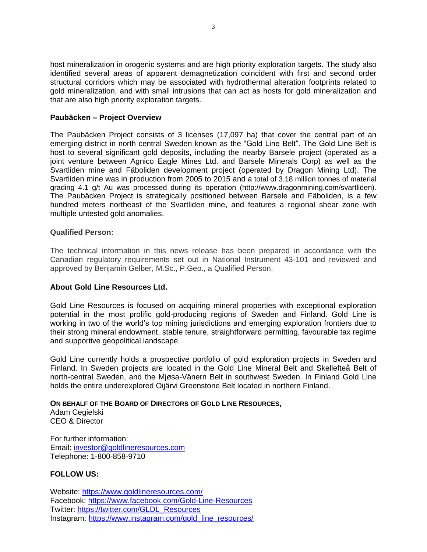host mineralization in orogenic systems and are high priority exploration targets. The study also identified several areas of apparent demagnetization coincident with first and second order structural corridors which may be associated with hydrothermal alteration footprints related to gold mineralization, and with small intrusions that can act as hosts for gold mineralization and that are also high priority exploration targets.

#### **Paubäcken – Project Overview**

The Paubäcken Project consists of 3 licenses (17,097 ha) that cover the central part of an emerging district in north central Sweden known as the "Gold Line Belt". The Gold Line Belt is host to several significant gold deposits, including the nearby Barsele project (operated as a joint venture between Agnico Eagle Mines Ltd. and Barsele Minerals Corp) as well as the Svartliden mine and Fäboliden development project (operated by Dragon Mining Ltd). The Svartliden mine was in production from 2005 to 2015 and a total of 3.18 million tonnes of material grading 4.1 g/t Au was processed during its operation (http://www.dragonmining.com/svartliden). The Paubäcken Project is strategically positioned between Barsele and Fäboliden, is a few hundred meters northeast of the Svartliden mine, and features a regional shear zone with multiple untested gold anomalies.

#### **Qualified Person:**

The technical information in this news release has been prepared in accordance with the Canadian regulatory requirements set out in National Instrument 43-101 and reviewed and approved by Benjamin Gelber, M.Sc., P.Geo., a Qualified Person.

# **About Gold Line Resources Ltd.**

Gold Line Resources is focused on acquiring mineral properties with exceptional exploration potential in the most prolific gold-producing regions of Sweden and Finland. Gold Line is working in two of the world's top mining jurisdictions and emerging exploration frontiers due to their strong mineral endowment, stable tenure, straightforward permitting, favourable tax regime and supportive geopolitical landscape.

Gold Line currently holds a prospective portfolio of gold exploration projects in Sweden and Finland. In Sweden projects are located in the Gold Line Mineral Belt and Skellefteå Belt of north-central Sweden, and the Mjøsa-Vänern Belt in southwest Sweden. In Finland Gold Line holds the entire underexplored Oijärvi Greenstone Belt located in northern Finland.

#### **ON BEHALF OF THE BOARD OF DIRECTORS OF GOLD LINE RESOURCES,**

Adam Cegielski CEO & Director

For further information: Email: [investor@goldlineresources.com](mailto:investor@goldlineresources.com) Telephone: 1-800-858-9710

# **FOLLOW US:**

Website:<https://www.goldlineresources.com/> Facebook:<https://www.facebook.com/Gold-Line-Resources> Twitter: [https://twitter.com/GLDL\\_Resources](https://twitter.com/GLDL_Resources) Instagram: [https://www.instagram.com/gold\\_line\\_resources/](https://www.instagram.com/gold_line_resources/)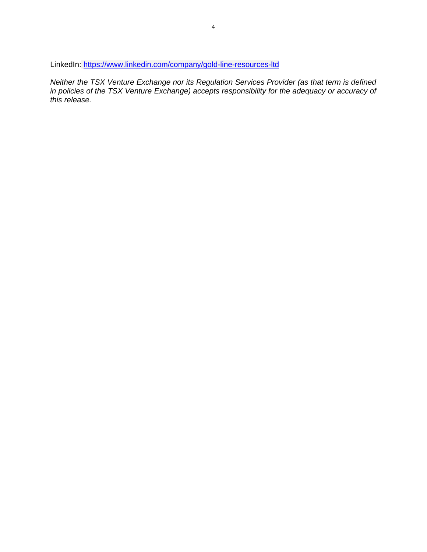LinkedIn: <https://www.linkedin.com/company/gold-line-resources-ltd>

*Neither the TSX Venture Exchange nor its Regulation Services Provider (as that term is defined*  in policies of the TSX Venture Exchange) accepts responsibility for the adequacy or accuracy of *this release.*